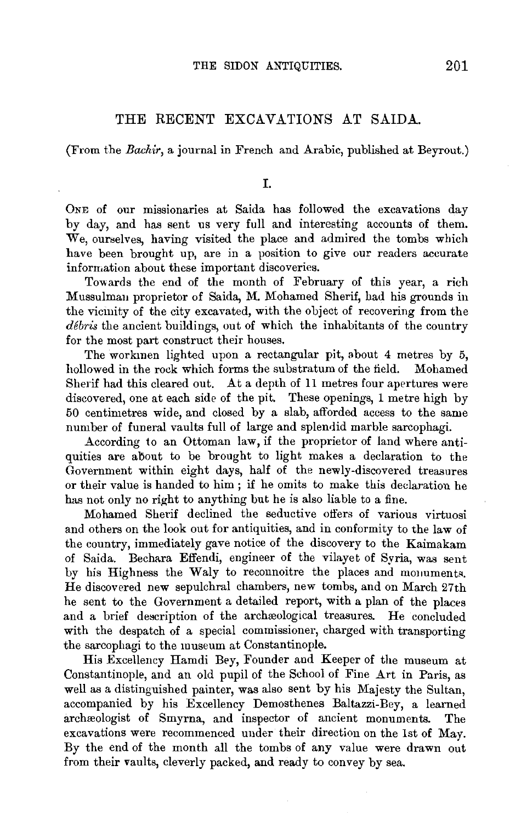## THE RECENT EXCAVATIONS AT SAIDA.

(From the *Bachir,* a journal in French and Arabic, published at Beyrout.)

I.

ONE of our missionaries at Saida has followed the excavations day by day, and has sent us very full and interesting accounts of them. We, ourselves, having visited the place and admired the tombs which have been brought up, are in a position to give our readers accurate information about these important discoveries.

Towards the end of the month of February of this year, a rich Mussulmau proprietor of Saida, M. Mohamed Sherif, had his grounds in the vicmity of the city excavated, with the object of recovering from the *debris* the ancient buildings, out of which the inhabitants of the country for the most part construct their houses.

The workmen lighted upon a rectangular pit, about 4 metres by 5, hollowed in the rock which forms the substratum of the field. Mohamed Sherif had this cleared out. At a depth of 11 metres four apertures were discovered, one at each side of the pit. These openings, 1 metre high by 50 centimetres wide, and closed by a slab, afforded access to the same number of funeral vaults full of large and splendid marble sarcophagi.

According to an Ottoman law, if the proprietor of land where antiquities are about to be brought to light makes a declaration to the Government within eight days, half of the newly-discovered treasures or their value is handed to him ; if he omits to make this declaration he has not only no right to anything but he is also liable to a fine.

Mohamed Sherif declined the seductive offers of various virtuosi and others on the look out for antiquities, and in conformity to the law of the country, immediately gave notice of the discovery to the Kaimakam of Saida. Bechara Effendi, engineer of the vilayet of Syria, was sent by his Highness the Waly to reconnoitre the places and monuments. He discovered new sepulchral chambers, new tombs, and on March 27th he sent to the Government a detailed report, with a plan of the places and a brief description of the archaeological treasures. He concluded with the despatch of a special commissioner, charged with transporting the sarcophagi to the museum at Constantinople.

His Excellency Hamdi Bey, Founder and Keeper of the museum at Constantinople, and an old pupil of the School of Fine Art in Paris, as well as a distinguished painter, was also sent by his Majesty the Sultan, accompanied by his Excellency Demosthenes Baltazzi-Bey, a learned archæologist of Smyrna, and inspector of ancient monuments. The excavations were recommenced under their direction on the 1st of May. By the end of the month all the tombs of any value were drawn out from their vaults, cleverly packed, and ready to convey by sea.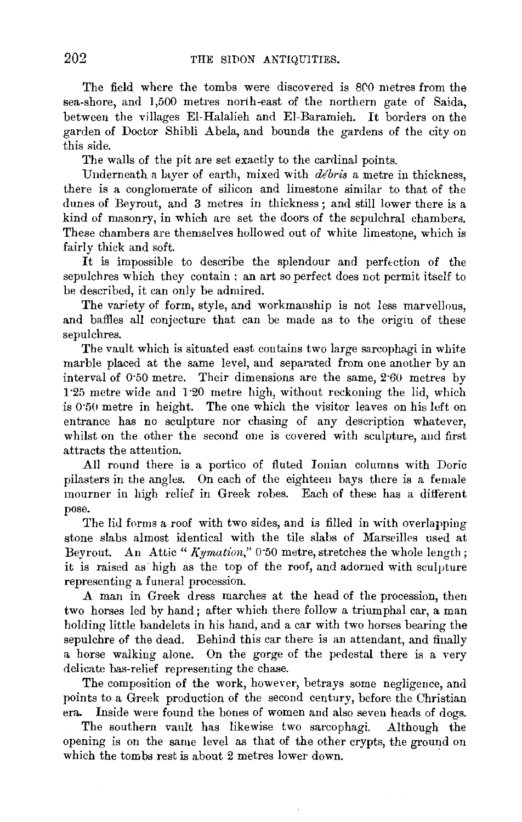The field where the tombs were discovered is 800 metres from the sea-shore, and 1,500 metres north-east of the northern gate of Saida, between the villages El-Halalieh and El-Baramieh. It borders on the garden of Doctor Shibli Abela, and bounds the gardens of the city on this side.

The walls of the pit are set exactly to the cardinal points.

Underneath a layer of earth, mixed with *debris* a metre in thickness, there is a conglomerate of silicon and limestone similar to that of the dunes of Beyrout, and 3 metres in thickness ; and still lower there is a kind of masonry, in which are set the doors of the sepulchral chambers. These chambers are themselves hollowed out of white limestone, which is fairly thick and soft.

It is impossible to describe the splendour and perfection of the sepulchres which they contain : an art so perfect does not permit itself to be described, it can only be admired.

The variety of form, style, and workmanship is not less marvellous, and baffies all conjecture that can be made as to the origin of these sepulchres.

The vault which is situated east contains two large sarcophagi in white marble placed at the same level, and separated from one another by an interval of 0·50 metre. Their dimensions are the same, 2·60 metres by 1·25 metre wide and 1·20 metre high, without reckoning the lid, which is 0.50 metre in height. The one which the visitor leaves on his left on entrance has no sculpture nor chasing of any description whatever, whilst on the other the second one is covered with sculpture, and first attracts the attention.

All round there is a portico of fluted Ionian columns with Doric pilasters in the angles. On each of the eighteen bays there is a female mourner in high relief in Greek robes. Each of these has a different pose.

The lid forms a roof with two sides, and is filled in with overlapping stone slabs almost identical with the tile slabs of Marseilles used at Beyrout. An Attic "Kymation," 0.50 metre, stretches the whole length; it is raised as high as the top of the roof, and adorned with sculpture representing a funeral procession.

A man in Greek dress marches at the head of the procession, then two horses led by hand; after which there follow a triumphal car, a man holding little bandelets in his hand, and a car with two horses bearing the sepulchre of the dead. Behind this car there is an attendant, and finally a horse walking alone. On the gorge of the pedestal there is a very delicate has-relief representing the chase.

The composition of the work, however, betrays some negligence, and points to a Greek production of the second century, before the Christian era. Inside were found the bones of women and also seven heads of dogs.

The southern vault has likewise two sarcophagi. Although the opening is on the same level as that of the other crypts, the ground on which the tombs rest is about 2 metres lower down.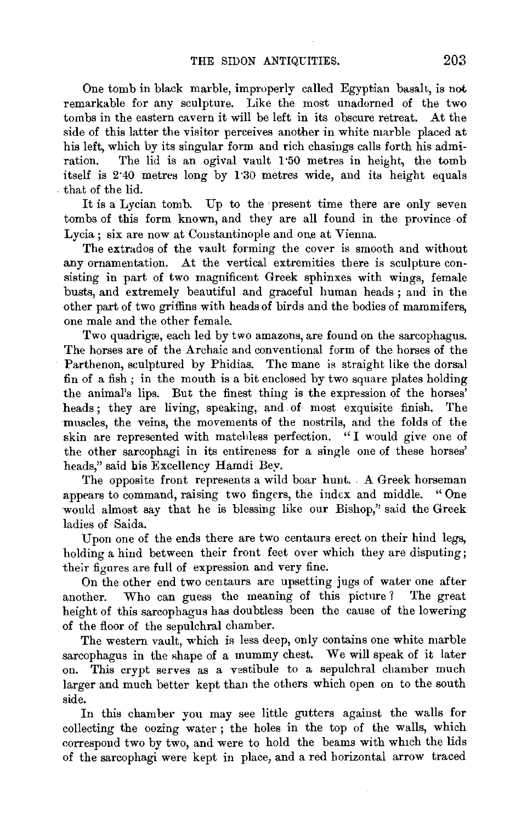One tomb in black marble, improperly called Egyptian basalt, is not remarkable for any sculpture. Like the most unadorned of the two tombs in the eastern cavern it will be left in its obscure retreat. At the side of this latter the visitor perceives another in white marble placed at his left, which by its singular form and rich chasings calls forth his admiration. The lid is an ogival vault 1·50 metres in height, the tomb itself is 2·40 metres long by 1'30 metres wide, and its height equals . that of the lid.

It is a Lycian tomb. Up to the present time there are only seven tombs of this form known, and they are all found in the province of Lycia ; six are now at Constantinople and one at Vienna.

The extrados of the vault forming the cover is smooth and without any ornamentation. At the vertical extremities there is sculpture consisting in part of two magnificent Greek sphinxes with wings, female busts, and extremely beautiful and graceful human heads ; and in the other part of two griffins with heads of birds and the bodies of mammifers, one male and the other female.

Two quadrige, each led by two amazons, are found on the sarcophagus. The horses are of the Archaic and conventional form of the horses of the Parthenon, sculptured by Phidias. The mane is straight like the dorsal fin of a fish ; in the mouth is a bit enclosed by two square plates holding the animal's lips. But the finest thing is the expression of the horses' heads; they are living, speaking, and of most exquisite finish. The muscles, the veins, the movements of the nostrils, and the folds of the skin are represented with matchless perfection. " I would give one of the other sarcophagi in its entireness for a single one of these horses' heads," said bis Excellency Hamdi Bey.

The opposite front represents a wild boar hunt. A Greek horseman appears to command, raising two fingers, the index and middle. "One would almost say that he is blessing like our Bishop," said the Greek ladies of Saida.

Upon one of the ends there are two centaurs erect on their hind legs, holding a hind between their front feet over which they are disputing; their figures are full of expression and very fine.

On the other end two centaurs are upsetting jugs of water one after another. Who can guess the meaning of this picture? The great height of this sarcophagus has doubtless been the cause of the lowering of the floor of the sepulchral chamber.

The western vault, which is less deep, only contains one white marble sarcophagus in the shape of a mummy chest. We will speak of it later on. This crypt serves as a vestibule to a sepulchral chamber much larger and much better kept than the others which open on to the south side.

In this chamber you may see little gutters against the walls for collecting the oozing water ; the holes in the top of the walls, which correspond two by two, and were to hold the beams with whteh the lids of the sarcophagi were kept in place, and a red horizontal arrow traced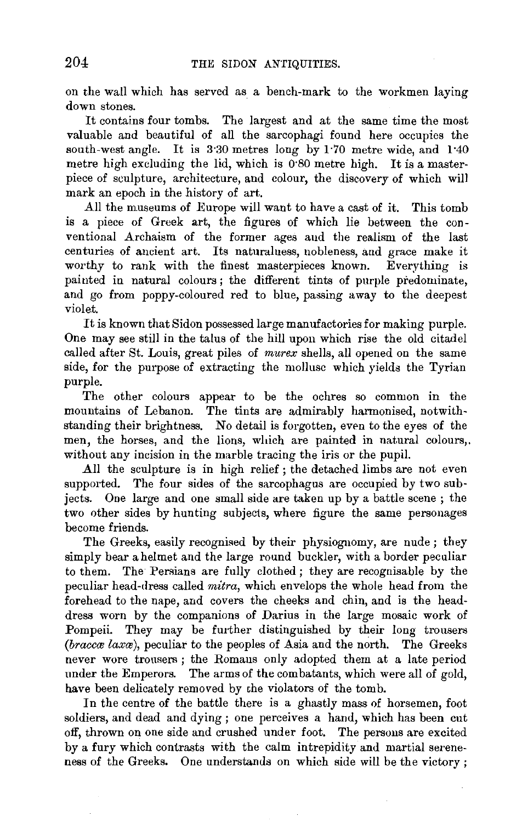on the wall which has served as a bench-mark to the workmen laying down stones.

It contains four tombs. The largest and at the same time the most valuable and beautiful of all the sarcophagi found here occupies the south-west angle. It is 3:30 metres long by 1:70 metre wide, and 1:40 metre high excluding the lid, which is  $0.80$  metre high. It is a masterpiece of sculpture, architecture, and colour, the discovery of which will mark an epoch in the history of art.

All the museums of Europe will want to have a cast of it. This tomb is a piece of Greek art, the figures of which lie between the conventional Archaism of the former ages aud the realism of the last centuries of ancient art. Its naturalness, nobleness, and grace make it worthy to rank with the finest masterpieces known. Everything is painted in natural colours; the different tints of purple predominate, and go from poppy-coloured red to blue, passing away to the deepest violet.

It is known that Sidon possessed large manufactories for making purple. One may see still in the talus of the hill upon which rise the old citadel called after St. Louis, great piles of *murex* shells, all opened on the same side, for the purpose of extracting the mollusc which yields the Tyrian purple.

The other colours appear to be the ochres so comruon in the mountains of Lebanon. The tints are admirably harmonised, notwithstanding their brightness. No detail is forgotten, even to the eyes of the men, the horses, and the lions, which are painted in natural colours,. without any incision in the marble tracing the iris or the pupil.

All the sculpture is in high relief; the detached limbs are not even supported. The four sides of the sarcophagus are occupied by two subjects. One large and one small side are taken up by a battle scene ; the two other sides by hunting subjects, where figure the same personages become friends.

The Greeks, easily recognised by their physiognomy, are nude ; they simply bear a helmet and the large round buckler, with a border peculiar to them. The Persians are fully clothed ; they are recognisable by the peculiar head-dress called *mitra,* which envelops the whole head from the forehead to the nape, and covers the cheeks and chin, and is the headdress worn by the companions of Darius in the large mosaic work of Pompeii. They may be further distinguished by their long trousers ( $brace$   $(brace$ ), peculiar to the peoples of Asia and the north. The Greeks never wore trousers ; the Romans only adopted them at a late period under the Emperors. The arms of the combatants, which were all of gold, have been delicately removed by the violators of the tomb.

In the centre of the battle there is a ghastly mass of horsemen, foot soldiers, and dead and dying; one perceives a hand, which has been cut off, thrown on one side and crushed under foot. The persons are excited by a fury which contrasts with the calm intrepidity and martial sereneness of the Greeks. One understands on which side will be the victory ;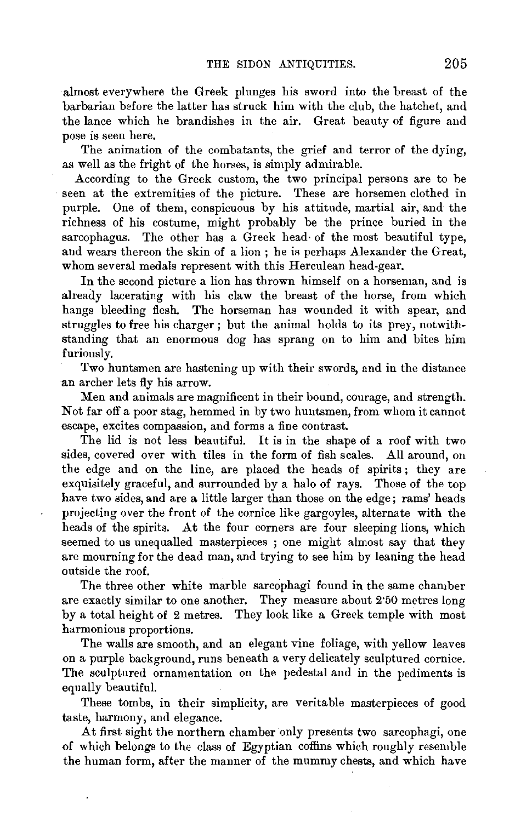almost everywhere the Greek plunges his sword into the breast of the barbarian before the latter has struck him with the club, the hatchet, and the lance which he brandishes in the air. Great beauty of figure and pose is seen here.

The animation of the combatants, the grief and terror of the dying, as well as the fright of the horses, is simply admirable.

According to the Greek custom, the two principal persons are to he seen at the extremities of the picture. These are horsemen clothed in purple. One of them, conspicuous by his attitude, martial air, and the richness of his costume, might probably be the prince buried in the sarcophagus. The other has a Greek head of the most beautiful type, and wears thereon the skin of a lion ; he is perhaps Alexander the Great, whom several medals represent with this Herculean head-gear.

In the second picture a lion has thrown himself on a horseman, and is already lacerating with his claw the breast of the horse, from which hangs bleeding flesh. The horseman has wounded it with spear, and struggles to free his charger; but the animal holds to its prey, notwithstanding that an enormous dog has sprang on to him and bites him furiously.

Two huntsmen are hastening up with their swords, and in the distance an archer lets fly his arrow.

Men and animals are magnificent in their bound, courage, and strength. Not far off a poor stag, hemmed in by two huntsmen, from whom it cannot escape, excites compassion, and forms a fine contrast.

The lid is not less beautiful. It is in the shape of a roof with two sides, covered over with tiles in the form of fish scales. All around, on the edge and on the line, are placed the heads of spirits ; they are exquisitely graceful, and surrounded by a halo of rays. Those of the top have two sides, and are a little larger than those on the edge; rams' heads projecting over the front of the cornice like gargoyles, alternate with the heads of the spirits. At the four corners are four sleeping lions, which seemed to us unequalled masterpieces ; one might almost say that they are mourning for the dead man, and trying to see him by leaning the head outside the roof.

The three other white marble sarcophagi found in the same chamber are exactly similar to one another. They measure about 2'50 metres long by a total height of 2 metres. They look like a Greek temple with most harmonious proportions.

The walls are smooth, and an elegant vine foliage, with yellow leaves on a purple background, runs beneath a very delicately sculptured cornice. The sculptured ornamentation on the pedestal and in the pediments is equally beautiful.

These tombs, in their simplicity, are veritable masterpieces of good taste, harmony, and elegance.

At first sight the northern chamber only presents two sarcophagi, one of which belongs to the class of Egyptian coffins which roughly resemble the human form, after the manner of the mummy chests, and which have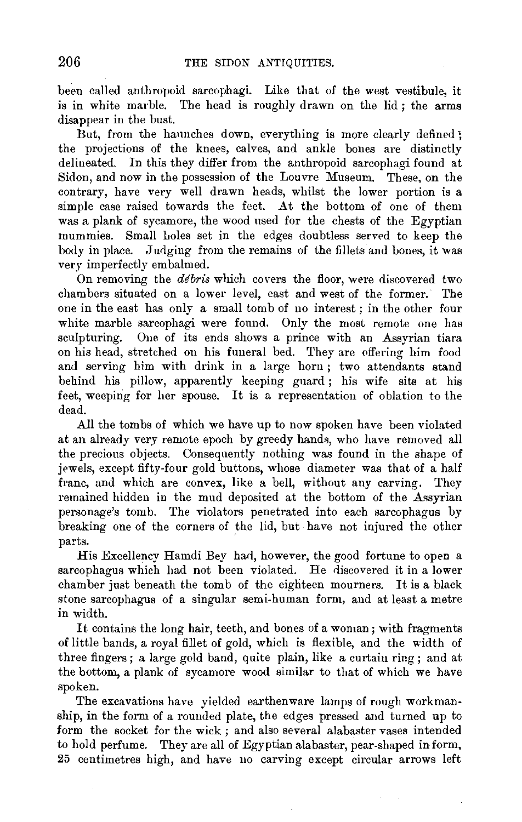been called anthropoid sarcophagi. Like that of the west vestibule, it is in white marble. The head is roughly drawn on the lid; the arms disappear in the bust.

But, from the haunches down, everything is more clearly defined; the projections of the knees, calves, and ankle bones are distinctly delineated. In this they differ from the anthropoid sarcophagi found at Sidon, and now in the possession of the Louvre Museum. These, on the contrary, have very well drawn heads, whilst the lower portion is a simple case raised towards the feet. At the bottom of one of them was a plank of sycamore, the wood used for the chests of the Egyptian mummies. Small holes set in the edges doubtless served to keep the body in place. Judging from the remains of the fillets and bones, it was very imperfectly embalmed.

On removing the *debris* which covers the floor, were discovered two charn hers situated on a lower level, east and west of the former. The one in the east has only a small tomb of no interest ; in the other four white marble sarcophagi were found. Only the most remote one has sculpturing. One of its ends shows a prince with an Assyrian tiara on his head, stretched on his funeral bed. They are offering him food and serving him with drink in a large horn; two attendants stand behind his pillow, apparently keeping guard ; his wife sits at his feet, weeping for her spouse. It is a representation of oblation to the dead.

All the tombs of which we have up to now spoken have been violated at an already very remote epoch by greedy hands, who have removed all the precious objects. Consequently nothing was found in the shape of jewels, except fifty-four gold buttons, whose diameter was that of a half franc, and which are convex, like a bell, without any carving. They remained hidden in the mud deposited at the bottom of the Assyrian personage's tomb. The violators penetrated into each sarcophagus by breaking one of the corners of the lid, but have not injured the other parts.

His Excellency Hamdi Bey had, however, the good fortune to open a sarcophagus which had not been violated. He discovered it in a lower chamber just beneath the tomb of the eighteen mourners. It is a black stone sarcophagus of a singular semi-human form, and at least a metre in width.

It contains the long hair, teeth, and bones of a woman; with fragments of little bands, a royal fillet of gold, which is flexible, and the width of three fingers; a large gold band, quite plain, like a curtain ring; and at the bottom, a plank of sycamore wood similar to that of which we have spoken.

The excavations have yielded earthenware lamps of rough workmanship, in the form of a rounded plate, the edges pressed and turned up to form the socket for the wick ; and also several alabaster vases intended to hold perfume. They are all of Egyptian alabaster, pear-shaped in form, 25 centimetres high, and have no carving except circular arrows left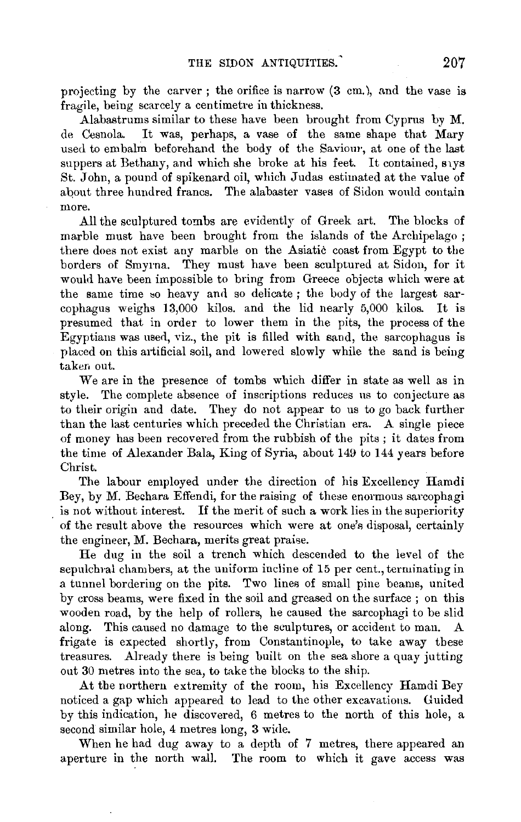projecting by the carver ; the orifice is narrow (3 cm.), and the vase is fragile, being scarcely a centimetre in thickness.

Alabastrums similar to these have been brought from Cyprus by M.<br>Alabastrums similar to these have been brought from Cyprus by M. Existencia. It was, perhaps, a vase of the Saviour, at one of the last ed to embalm beforehand the body of the Saviour, at one of the last suppers at Bethany, and which she broke at his feet. It contained, says<br>St. John, a pound of spikenard oil, which Judas estimated at the value of about three hundred francs. The alabaster vases of Sidon would contain more.

All the sculptured tombs are evidently of Greek art. The blocks of marble must have been brought from the islands of the Archipelago ; arble must have been prought from the islamus of the Archipelago; borders not exist any marble on the Asiatic coast from Egypt to the borders of Smyrna. They must have been sculptured at Sidon, for it would have been impossible to bring from Greece objects which were at  $\frac{1}{2}$  heavy annual so delicate; the body of the largest sar-<br>change with  $\frac{13}{2}$ ,  $\frac{1000}{2}$  kilos. It is is in the lide nearly  $\frac{1}{2}$ . It is cophagus weighs  $13,000$  kilos, and the lid nearly  $5,000$  kilos. It is presumed that in order to lower them in the pits, the process of the Egyptians was used, viz., the pit is filled with sand, the sarcophagus is placed on this artificial soil, and lowered slowly while the sand placed is being  $\frac{1}{n}$ . taceu on ui.<br>1-m - ui We are in the presence of tombs which differ in state as well as in

style are the complete absence of inscriptions reduces us to conjecture as the conjecture as the conjecture as style. The complete absence of inscriptions reduces us to conjecture as to their origin and date. They do not appear to us to go back further than the last centuries which preceded the Christian era. A single piece of money has been recovered from the rubbish of the pits; it dates from the time of  $\Lambda$  and  $\Lambda$  are  $\Lambda$  and  $\Lambda$  are  $\Lambda$  surial about 149 to 144 years before the forest parameter before  $\Lambda$  $\cdot$  ... The labour employed under the direction of his Excellency Hamdi

Ine labour employed under the direction of his excellency Liamar<br>by, by M. Bechara Effendi, for the raising of these enormous sarcophagin<br>interest. is not without interest. If the merit of such a work lies in the superiority of the result above the resources which were at one's disposal, certainly the engineer, M. Bechara, merits great praise.

He dug in the soil a trench which descended to the level of the separate the uniform incline of 15 per cent., the unit of 15 per cent. termination in the unit of the unit of the unit of the unit of the unit of the unit of the unit of the unit of the unit of the unit of the unit of the purchan champers, at the uniform netting or 10 per cent., terminating in a tunnel bordering on the pits. Two lines of small pine beams, united<br>by cross beams, were fixed in the soil and greased on the surface; on this  $\alpha$  cross beams, were fixed in the son and greased on the sarrace, on this  $\frac{1}{2}$  along the next of tones, he caused the satisfying to be situated to the school of the sculpture of  $\frac{1}{2}$  $f_{\text{max}}$  frigate is caused no damage to the sculptures, or accident to main,  $f_{\text{max}}$ treasure is expected shortly, from constantinople, to take away these treasures. Already there is being built on the sea shore a quay jutting out 30 metres into the sea, to take the blocks to the ship.

At the northern extremity of the room, his Excellency Hamdi Bey noticed a gap which appeared to lead to the other excavations. Guided by this indication, he discovered, 6 metres to the north of this hole, a second similar hole, 4 metres long, 3 wide.

When he had dug away to a depth of 7 metres, there appeared an aperture in the north wall. The room to which it gave access was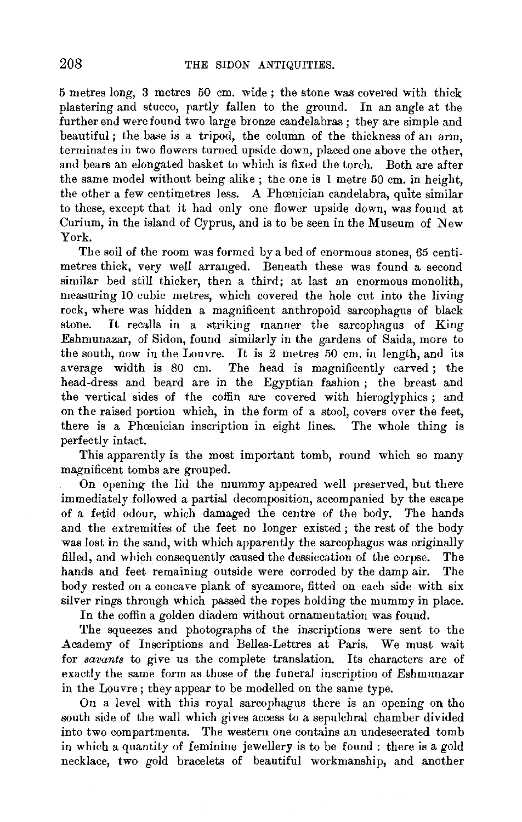5 metres long, 3 metres 50 cm. wide ; the stone was covered with thick plastering and stucco, partly fallen to the ground. In an angle at the further end were found two large bronze candelabras ; they are simple and beautiful ; the base is a tripod, the column of the thickness of an arm, terminates in two flowers turned upside down, placed one above the other, and bears an elongated basket to which is fixed the torch. Both are after the same model without being alike ; the one is 1 metre 50 cm. in height, the other a few centimetres less. A Phœnician candelabra, quite similar to these, except that it had only one flower upside down, was found at Curium, in the island of Cyprus, and is to be seen in the Museum of New York.

The soil of the room was formed by a bed of enormous stones, 65 centimetres thick, very well arranged. Beneath these was found a second similar bed still thicker, then a third; at last an enormous monolith, measuring 10 cubic metres, which covered the hole cut into the living rock, where was hidden a magnificent anthropoid sarcophagus of black stone. It recalls in a striking manner the sarcophagus of King Eshmnnazar, of Sidon, found similarly in the gardens of Saida, more to the south, now in the Louvre. It is 2 metres 50 cm. in length, and its average width is 80 cm. The head is magnificently carved ; the head-dress and beard are in the Egyptian fashion ; the breast and the vertical sides of the coffin are covered with hieroglyphics ; and on the raised portion which, in the form of a stool, covers over the feet, there is a Phcenician inscription in eight lines. The whole thing is perfectly intact.

This apparently is the most important tomb, round which so many magnificent tombs are grouped.

On opening the lid the mummy appeared well preserved, but there immediately followed a partial decomposition, accompanied by the escape of a fetid odour, which damaged the centre of the body. The hands and the extremities of the feet no longer existed ; the rest of the body was lost in the sand, with which apparently the sarcophagus was originally filled, and which consequently caused the dessiccation of the corpse. The hands and feet remaining outside were corroded by the damp air. The body rested on a concave plank of sycamore, fitted on each side with six silver rings through which passed the ropes holding the mummy in place.

In the coffin a golden diadem without ornamentation was found.

The squeezes and photographs of the inscriptions were sent to the Academy of Inscriptions and Belles-Lettres at Paris. We must wait for *savants* to give us the complete translation. Its characters are of exactly the same form as those of the funeral inscription of Eshmunazar in the Louvre ; they appear to be modelled on the same type.

On a level with this royal sarcophagus there is an opening on the south side of the wall which gives access to a sepulchral chamber divided into two compartments. The western one contains an undesecrated tomb in which a quantity of feminine jewellery is to be found : there is a gold necklace, two gold bracelets of beautiful workmanship, and another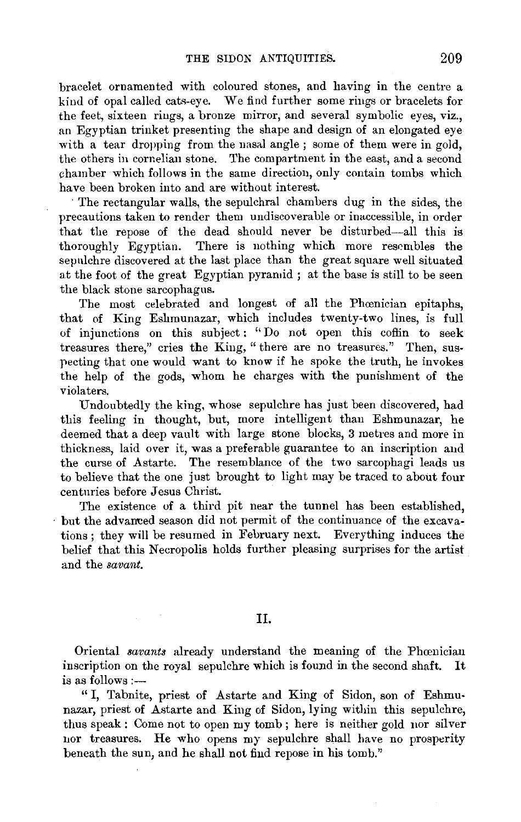bracelet ornamented with coloured stones, and having in the centre a kind of opal called cats-eye. We find further some rings or bracelets for the feet, sixteen rings, a bronze mirror, and several symbolic eyes, viz., an Egyptian trinket presenting the shape and design of an elongated eye with a tear dropping from the nasal angle ; some of them were in gold, the others in cornelian stone. The compartment in the east, and a second chamber which follows in the same direction, only contain tombs which have been broken into and are without interest.

The rectangular walls, the sepulchral chambers dug in the sides, the precautions taken to render them undiscoverable or inaccessible, in order that the repose of the dead should never be disturbed-all this is thoroughly Egyptian. There is nothing which more resembles the sepulchre discovered at the last place than the great square well situated at the foot of the great Egyptian pyramid ; at the base is still to be seen the black stone sarcophagus.

The most celebrated and longest of all the Phœnician epitaphs, that of King Eshmunazar, which includes twenty-two lines, is full of injunctions on this subject : "Do not open this coffin to seek treasures there," cries the King, "there are no treasures." Then, suspecting that one would want to know if he spoke the truth, he invokes the help of the gods, whom he charges with the punishment of the violaters.

Undoubtedly the king, whose sepulchre has just been discovered, had this feeling in thought, but, more intelligent than Eshmunazar, he deemed that a deep vault with large stone blocks, 3 metres and more in thickness, laid over it, was a preferable guarantee to an inscription and the curse of Astarte. The resemblance of the two sarcophagi leads us to believe that the one just brought to light may be traced to about four centuries before Jesus Christ.

The existence of a third pit near the tunnel has been established, but the advanced season did not permit of the continuance of the excavations ; they will be resumed in February next. Everything induces the belief that this Necropolis holds further pleasing surprises for the artist and the *savant.* 

## II.

Oriental *savants* already understand the meaning of the Phoenician oriental *savants* aiready understand the meaning of the Phoenician<br>iscription on the royal sepulchre which is found in the second shaft. It<br>as follows :-is as follows :---<br>"I, Tabnite, priest of Astarte and King of Sidon, son of Eshmu-

nazar, priest of Astarte and King of Sidon, lying within this sepulchre, thus speak: Come not to open my tomb ; here is neither gold nor silver uor treasures. He who opens my sepulchre shall have no prosperity beneath the sun, and he shall not find repose in his tomb."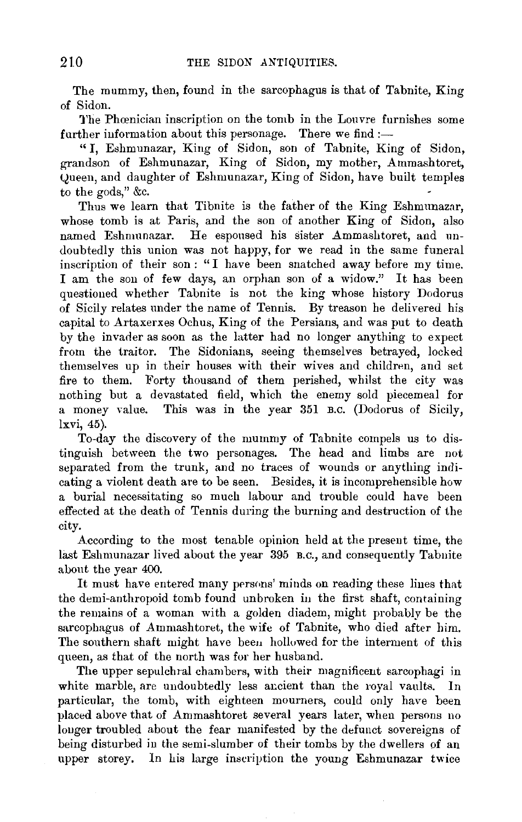The mummy, then, found in the sarcophagus is that of Tabnite, King of Sidon.

The Phoenician inscription on the tomb in the Louvre furnishes some further information about this personage. There we find  $:$ 

"I, Eshmunazar, King of Sidon, son of Tabnite, King of Sidon, grandson of Eshmunazar, King of Sidon, my mother, Ammashtoret, Queen, and daughter of Eshmunazar, King of Sidon, have built temples to the gods," &c.

Thus we learn that Tibnite is the father of the King Eshmunazar, whose tomb is at Paris, and the son of another King of Sidon, also named Eshmunazar. He espoused his sister Ammashtoret, and undoubtedly this union was not happy, for we read in the same funeral inscription of their son : "I have been snatched away before my time. I am the son of few days, an orphan son of a widow." It has been questioned whether Tabnite is not the king whose history Dodorus of Sicily relates under the name of Tennis. By treason he delivered his capital to Artaxerxes Ochus, King of the Persians, and was put to death by the invader as soon as the latter had no longer anything to expect from the traitor. The Sidonians, seeing themselves betrayed, locked themselves up in their houses with their wives and children, and set fire to them. Forty thousand of them perished, whilst the city was nothing but a devastated field, which the enemy sold piecemeal for a money value. This was in the year 351 B.C. (Dodorus of Sicily, lxvi, 45).

To-day the discovery of the mummy of Tabnite compels us to distinguish between the two personages. The head and limbs are not separated from the trunk, and no traces of wounds or anything indicating a violent death are to be seen. Besides, it is incomprehensible how a burial necessitating so much labour and trouble could have been effected at the death of Tennis during the burning and destruction of the city.

According to the most tenable opinion held at the present time, the last Eshmunazar lived about the year 395 B.C., and consequently Tabuite about the year 400.

It must have entered many persons' minds on reading these lines that the demi-anthropoid tomb found unbroken iu the first shaft, containing the remains of a woman with a golden diadem, might probably be the sarcophagus of Ammashtoret, the wife of Tabnite, who died after him. The southern shaft might have been hollowed for the interment of this queen, as that of the north was for her husband.

The upper sepulchral chambers, with their magnificent sarcophagi in white marble, are undoubtedly less ancient than the royal vaults. In particular, the tomb, with eighteen mourners, could only have been placed above that of Ammashtoret several years later, when persons no longer troubled about the fear manifested by the defunct sovereigns of being disturbed in the semi-slumber of their tombs by the dwellers of an upper storey. In his large inscription the young Eshmunazar twice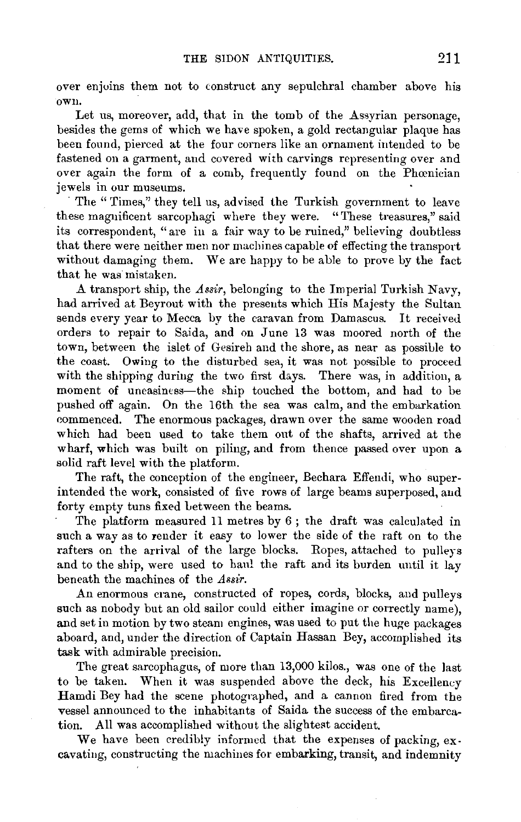over enjoins them not to construct any sepulchral chamber above his own.

Let us, moreover, add, that in the tomb of the Assyrian personage, besides the gems of which we have spoken, a gold rectangular plaque has been found, pierced at the four corners like an ornament intended to be fastened on a garment, and covered with carvings representing over and over again the form of a comb, frequently found on the Phœnician jewels in our museums.

The "Times," they tell us, advised the Turkish government to leave these magnificent sarcophagi where they were. "These treasures," said its correspondent, "are in a fair way to be ruined," believing doubtless that there were neither men nor machines capable of effecting the transport without damaging them. We are happy to be able to prove by the fact that he was mistaken.

A transport ship, the *Assir*, belonging to the Imperial Turkish Navy, had arrived at Beyrout with the presents which His Majesty the Sultan sends every year to Mecca by the caravan from Damascus. It received orders to repair to Saida, and on June 13 was moored north of the town, between the islet of Gesireh and the shore, as near as possible to the coast. Owing to the disturbed sea, it was not possible to proceed with the shipping during the two first days. There was, in addition, a moment of uneasiness—the ship touched the bottom, and had to be pushed off again. On the 16th the sea was calm, and the embarkation commenced. The enormous packages, drawn over the same wooden road which had been used to take them out of the shafts, arrived at the wharf, which was built on piling, and from thence passed over upon a solid raft level with the platform.

The raft, the conception of the engineer, Bechara Effendi, who superintended the work, consisted of five rows of large beams superposed, and forty empty tuns fixed between the beams.

The platform measured 11 metres by 6 ; the draft was calculated in such a way as to render it easy to lower the side of the raft on to the rafters on the arrival of the large blocks. Ropes, attached to pulleys and to the ship, were used to haul the raft and its burden until it lay beneath the machines of the *Assir*.

An enormous crane, constructed of ropes, cords, blocks, and pulleys such as nobody but an old sailor could either imagine or correctly name). and set in motion by two steam engines, was used to put the huge packages aboard, and, under the direction of Captain Hassan Bey, accomplished its task with admirable precision.

The great sarcophagus, of more than 13,000 kilos., was one of the last to be taken. When it was suspended above the deck, his Excellency Hamdi Bey had the scene photographed, and a cannon fired from the vessel announced to the inhabitants of Saida the success of the embarcation. All was accomplished without the slightest accident.

We have been credibly informed that the expenses of packing, excavatiug, constructing the machines for embarking, transit, and indemnity